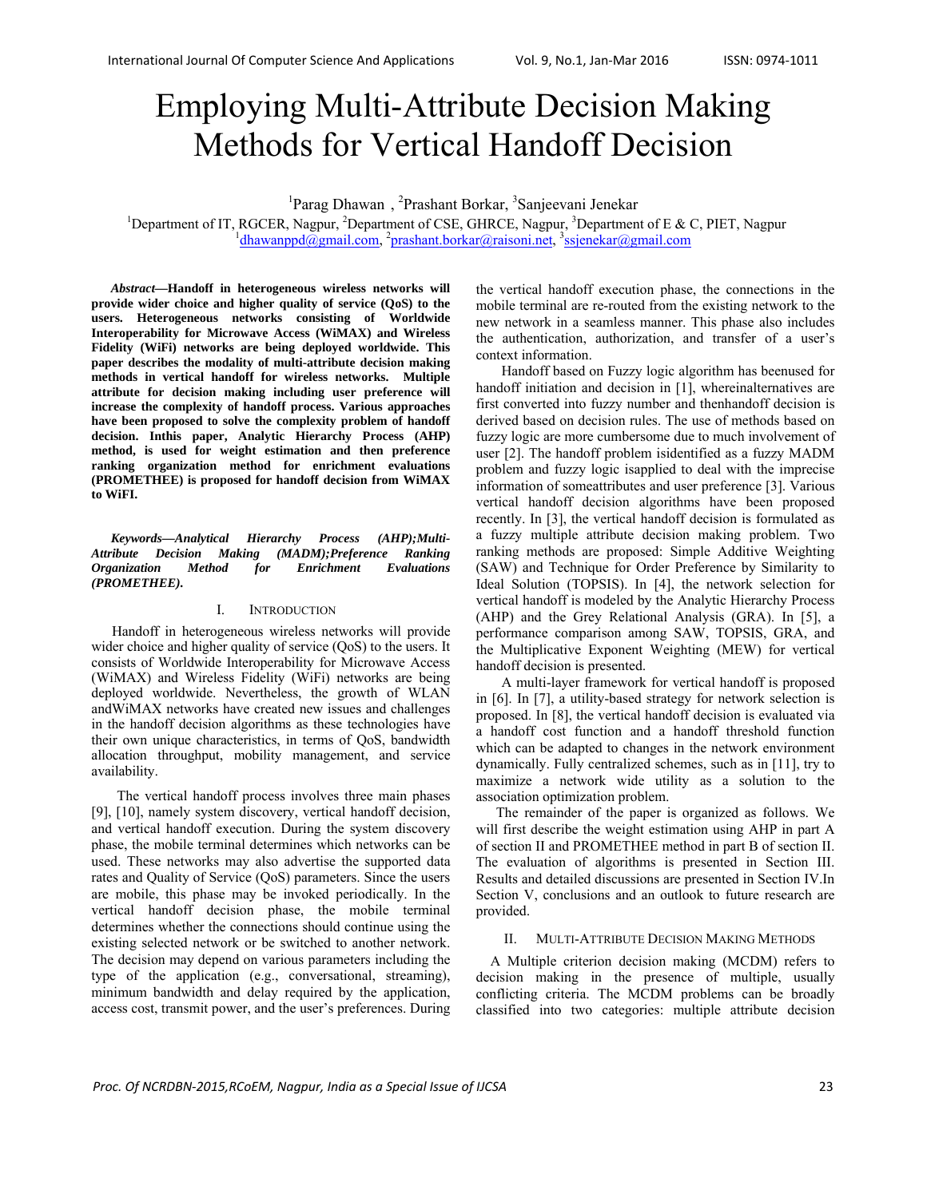# Employing Multi-Attribute Decision Making Methods for Vertical Handoff Decision

<sup>1</sup>Parag Dhawan, <sup>2</sup>Prashant Borkar, <sup>3</sup>Sanjeevani Jenekar

<sup>1</sup>Department of IT, RGCER, Nagpur, <sup>2</sup>Department of CSE, GHRCE, Nagpur, <sup>3</sup>Department of E & C, PIET, Nagpur dhawanppd@gmail.com, 2 prashant.borkar@raisoni.net, 3 ssjenekar@gmail.com

*Abstract***—Handoff in heterogeneous wireless networks will provide wider choice and higher quality of service (QoS) to the users. Heterogeneous networks consisting of Worldwide Interoperability for Microwave Access (WiMAX) and Wireless Fidelity (WiFi) networks are being deployed worldwide. This paper describes the modality of multi-attribute decision making methods in vertical handoff for wireless networks. Multiple attribute for decision making including user preference will increase the complexity of handoff process. Various approaches have been proposed to solve the complexity problem of handoff decision. Inthis paper, Analytic Hierarchy Process (AHP) method, is used for weight estimation and then preference ranking organization method for enrichment evaluations (PROMETHEE) is proposed for handoff decision from WiMAX to WiFI.** 

*Keywords—Analytical Hierarchy Process (AHP);Multi-Attribute Decision Making (MADM);Preference Ranking Organization Method for Enrichment Evaluations (PROMETHEE).* 

### I. INTRODUCTION

Handoff in heterogeneous wireless networks will provide wider choice and higher quality of service (QoS) to the users. It consists of Worldwide Interoperability for Microwave Access (WiMAX) and Wireless Fidelity (WiFi) networks are being deployed worldwide. Nevertheless, the growth of WLAN andWiMAX networks have created new issues and challenges in the handoff decision algorithms as these technologies have their own unique characteristics, in terms of QoS, bandwidth allocation throughput, mobility management, and service availability.

The vertical handoff process involves three main phases [9], [10], namely system discovery, vertical handoff decision, and vertical handoff execution. During the system discovery phase, the mobile terminal determines which networks can be used. These networks may also advertise the supported data rates and Quality of Service (QoS) parameters. Since the users are mobile, this phase may be invoked periodically. In the vertical handoff decision phase, the mobile terminal determines whether the connections should continue using the existing selected network or be switched to another network. The decision may depend on various parameters including the type of the application (e.g., conversational, streaming), minimum bandwidth and delay required by the application, access cost, transmit power, and the user's preferences. During the vertical handoff execution phase, the connections in the mobile terminal are re-routed from the existing network to the new network in a seamless manner. This phase also includes the authentication, authorization, and transfer of a user's context information.

Handoff based on Fuzzy logic algorithm has beenused for handoff initiation and decision in [1], whereinalternatives are first converted into fuzzy number and thenhandoff decision is derived based on decision rules. The use of methods based on fuzzy logic are more cumbersome due to much involvement of user [2]. The handoff problem isidentified as a fuzzy MADM problem and fuzzy logic isapplied to deal with the imprecise information of someattributes and user preference [3]. Various vertical handoff decision algorithms have been proposed recently. In [3], the vertical handoff decision is formulated as a fuzzy multiple attribute decision making problem. Two ranking methods are proposed: Simple Additive Weighting (SAW) and Technique for Order Preference by Similarity to Ideal Solution (TOPSIS). In [4], the network selection for vertical handoff is modeled by the Analytic Hierarchy Process (AHP) and the Grey Relational Analysis (GRA). In [5], a performance comparison among SAW, TOPSIS, GRA, and the Multiplicative Exponent Weighting (MEW) for vertical handoff decision is presented.

A multi-layer framework for vertical handoff is proposed in [6]. In [7], a utility-based strategy for network selection is proposed. In [8], the vertical handoff decision is evaluated via a handoff cost function and a handoff threshold function which can be adapted to changes in the network environment dynamically. Fully centralized schemes, such as in [11], try to maximize a network wide utility as a solution to the association optimization problem.

The remainder of the paper is organized as follows. We will first describe the weight estimation using AHP in part A of section II and PROMETHEE method in part B of section II. The evaluation of algorithms is presented in Section III. Results and detailed discussions are presented in Section IV.In Section V, conclusions and an outlook to future research are provided.

## II. MULTI-ATTRIBUTE DECISION MAKING METHODS

A Multiple criterion decision making (MCDM) refers to decision making in the presence of multiple, usually conflicting criteria. The MCDM problems can be broadly classified into two categories: multiple attribute decision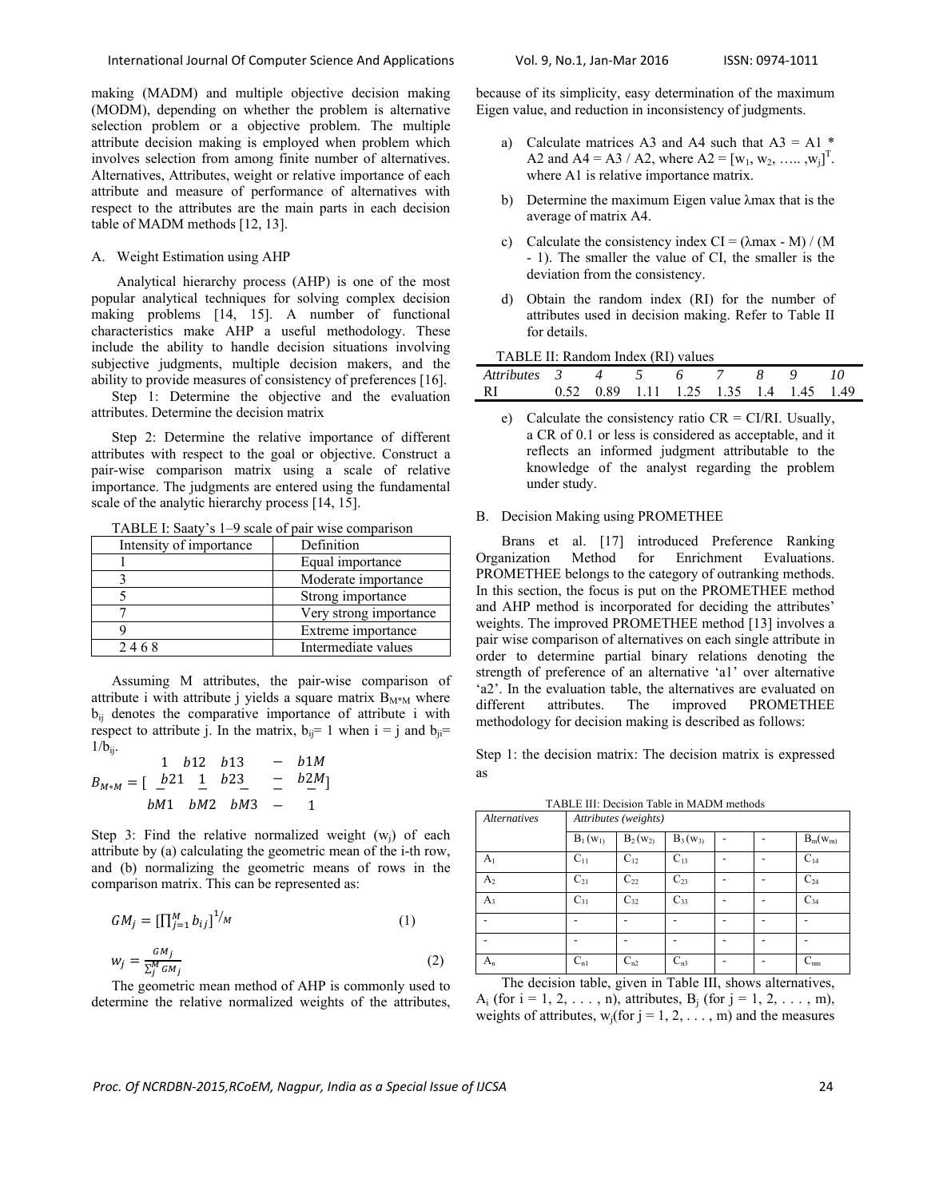making (MADM) and multiple objective decision making (MODM), depending on whether the problem is alternative selection problem or a objective problem. The multiple attribute decision making is employed when problem which involves selection from among finite number of alternatives. Alternatives, Attributes, weight or relative importance of each attribute and measure of performance of alternatives with respect to the attributes are the main parts in each decision table of MADM methods [12, 13].

## A. Weight Estimation using AHP

Analytical hierarchy process (AHP) is one of the most popular analytical techniques for solving complex decision making problems [14, 15]. A number of functional characteristics make AHP a useful methodology. These include the ability to handle decision situations involving subjective judgments, multiple decision makers, and the ability to provide measures of consistency of preferences [16].

Step 1: Determine the objective and the evaluation attributes. Determine the decision matrix

Step 2: Determine the relative importance of different attributes with respect to the goal or objective. Construct a pair-wise comparison matrix using a scale of relative importance. The judgments are entered using the fundamental scale of the analytic hierarchy process [14, 15].

TABLE I: Saaty's 1–9 scale of pair wise comparison

| Intensity of importance | Definition             |
|-------------------------|------------------------|
|                         | Equal importance       |
| Moderate importance     |                        |
|                         | Strong importance      |
|                         | Very strong importance |
|                         | Extreme importance     |
| 2468                    | Intermediate values    |

Assuming M attributes, the pair-wise comparison of attribute i with attribute j yields a square matrix  $B_{M^*M}$  where bij denotes the comparative importance of attribute i with respect to attribute j. In the matrix,  $b_{ii}= 1$  when  $i = j$  and  $b_{ii}=$  $1/b_{ii}$ .

$$
B_{M*M} = \begin{bmatrix} 1 & b12 & b13 & - & b1M \\ b21 & 1 & b23 & - & b2M \\ bM1 & bM2 & bM3 & - & 1 \end{bmatrix}
$$

Step 3: Find the relative normalized weight  $(w_i)$  of each attribute by (a) calculating the geometric mean of the i-th row, and (b) normalizing the geometric means of rows in the comparison matrix. This can be represented as:

$$
GM_j = \left[\prod_{j=1}^{M} b_{ij}\right]^{1/M} \tag{1}
$$

$$
w_j = \frac{GM_j}{\sum_{j}^{M}GM_j}
$$
 (2)

The geometric mean method of AHP is commonly used to determine the relative normalized weights of the attributes, because of its simplicity, easy determination of the maximum Eigen value, and reduction in inconsistency of judgments.

- a) Calculate matrices A3 and A4 such that  $A3 = A1$  \* A2 and A4 = A3 / A2, where A2 =  $[w_1, w_2, \dots, w_j]^T$ . where A1 is relative importance matrix.
- b) Determine the maximum Eigen value λmax that is the average of matrix A4.
- c) Calculate the consistency index  $CI = (\lambda max M) / (M)$ - 1). The smaller the value of CI, the smaller is the deviation from the consistency.
- Obtain the random index (RI) for the number of attributes used in decision making. Refer to Table II for details.

TABLE II: Random Index (RI) values

| Attributes 3 4 5 6 7 8 9 10 |  |                                        |  |  |
|-----------------------------|--|----------------------------------------|--|--|
| RI                          |  | 0.52 0.89 1.11 1.25 1.35 1.4 1.45 1.49 |  |  |
|                             |  |                                        |  |  |

e) Calculate the consistency ratio  $CR = CI/RI$ . Usually, a CR of 0.1 or less is considered as acceptable, and it reflects an informed judgment attributable to the knowledge of the analyst regarding the problem under study.

## B. Decision Making using PROMETHEE

Brans et al. [17] introduced Preference Ranking Organization Method for Enrichment Evaluations. PROMETHEE belongs to the category of outranking methods. In this section, the focus is put on the PROMETHEE method and AHP method is incorporated for deciding the attributes' weights. The improved PROMETHEE method [13] involves a pair wise comparison of alternatives on each single attribute in order to determine partial binary relations denoting the strength of preference of an alternative 'a1' over alternative 'a2'. In the evaluation table, the alternatives are evaluated on different attributes. The improved PROMETHEE methodology for decision making is described as follows:

Step 1: the decision matrix: The decision matrix is expressed as

TABLE III: Decision Table in MADM methods

| <b>Alternatives</b> |            | Attributes (weights) |            |  |  |            |
|---------------------|------------|----------------------|------------|--|--|------------|
|                     | $B_1(w_1)$ | $B_2(w_2)$           | $B_3(w_3)$ |  |  | $B_m(w_m)$ |
| A <sub>1</sub>      | $C_{11}$   | $C_{12}$             | $C_{13}$   |  |  | $C_{14}$   |
| A <sub>2</sub>      | $C_{21}$   | $C_{22}$             | $C_{23}$   |  |  | $C_{24}$   |
| $A_3$               | $C_{31}$   | $C_{32}$             | $C_{33}$   |  |  | $C_{34}$   |
|                     |            |                      |            |  |  |            |
|                     |            |                      |            |  |  |            |
| $A_n$               | $C_{n1}$   | $C_{n2}$             | $C_{n3}$   |  |  | $C_{nm}$   |

The decision table, given in Table III, shows alternatives,  $A_i$  (for  $i = 1, 2, ..., n$ ), attributes,  $B_i$  (for  $j = 1, 2, ..., m$ ), weights of attributes,  $w_i$ (for j = 1, 2, . . . , m) and the measures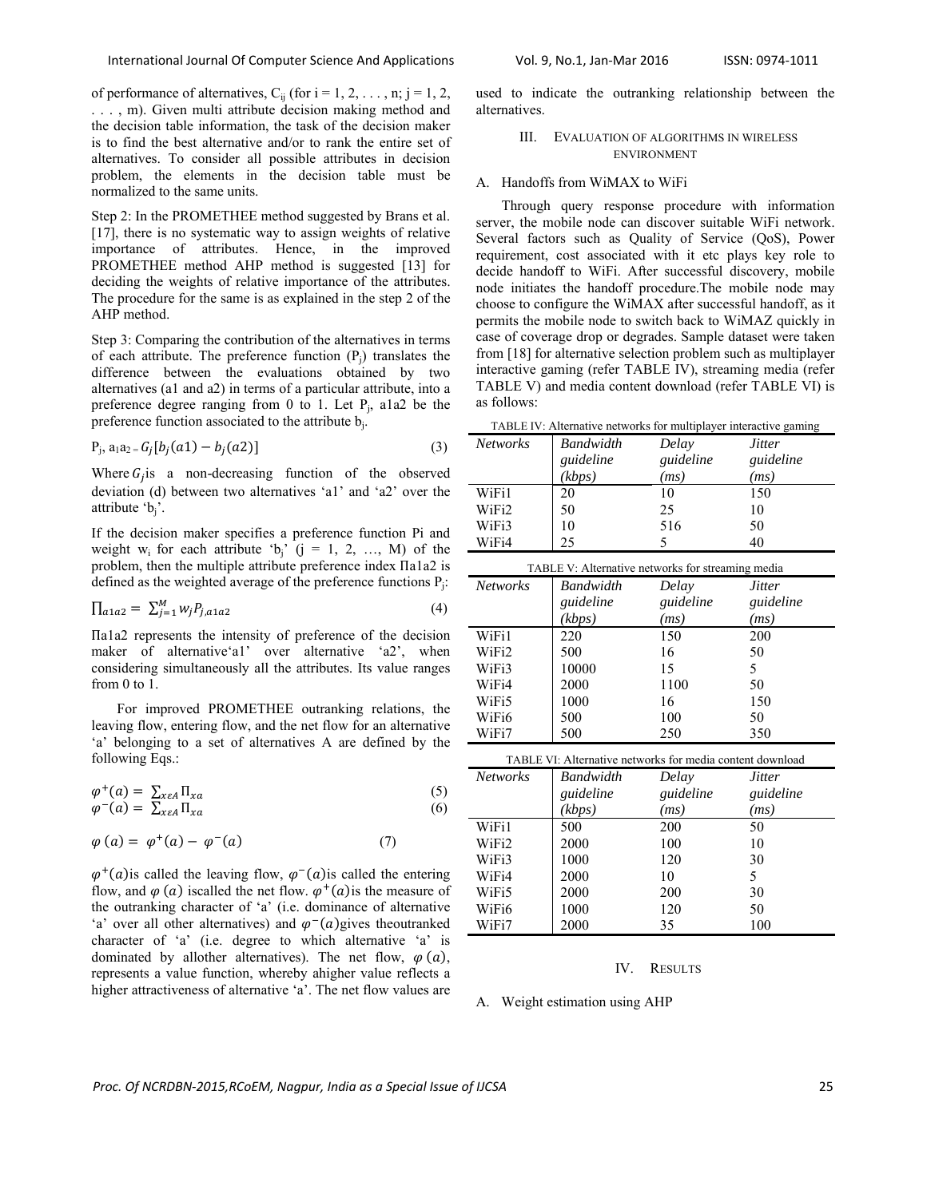of performance of alternatives,  $C_{ii}$  (for  $i = 1, 2, \ldots, n$ ;  $j = 1, 2,$ . . . , m). Given multi attribute decision making method and the decision table information, the task of the decision maker is to find the best alternative and/or to rank the entire set of alternatives. To consider all possible attributes in decision problem, the elements in the decision table must be normalized to the same units.

Step 2: In the PROMETHEE method suggested by Brans et al. [17], there is no systematic way to assign weights of relative importance of attributes. Hence, in the improved PROMETHEE method AHP method is suggested [13] for deciding the weights of relative importance of the attributes. The procedure for the same is as explained in the step 2 of the AHP method.

Step 3: Comparing the contribution of the alternatives in terms of each attribute. The preference function  $(P_i)$  translates the difference between the evaluations obtained by two alternatives (a1 and a2) in terms of a particular attribute, into a preference degree ranging from 0 to 1. Let  $P_i$ , a1a2 be the preference function associated to the attribute  $b_i$ .

$$
P_j, a_1 a_2 = G_j [b_j(a1) - b_j(a2)] \tag{3}
$$

Where  $G_i$  is a non-decreasing function of the observed deviation (d) between two alternatives 'a1' and 'a2' over the attribute 'bj'.

If the decision maker specifies a preference function Pi and weight  $w_i$  for each attribute 'b<sub>i</sub>' (j = 1, 2, ..., M) of the problem, then the multiple attribute preference index Πa1a2 is defined as the weighted average of the preference functions  $P_i$ :

$$
\Pi_{a1a2} = \sum_{j=1}^{M} w_j P_{j,a1a2}
$$
 (4)

Πa1a2 represents the intensity of preference of the decision maker of alternative'a1' over alternative 'a2', when considering simultaneously all the attributes. Its value ranges from 0 to 1.

For improved PROMETHEE outranking relations, the leaving flow, entering flow, and the net flow for an alternative 'a' belonging to a set of alternatives A are defined by the following Eqs.:

$$
\varphi^{+}(a) = \sum_{x \in A} \Pi_{xa} \tag{5}
$$
\n
$$
\varphi^{-}(a) = \sum_{x \in A} \Pi_{xa} \tag{6}
$$

$$
\varphi\ \ (\boldsymbol{a}) = \ \boldsymbol{\Sigma}_{x\boldsymbol{\varepsilon}A} \, \boldsymbol{\Pi}_{x\boldsymbol{a}}
$$

$$
\varphi(a) = \varphi^+(a) - \varphi^-(a) \tag{7}
$$

 $\varphi^+(a)$  is called the leaving flow,  $\varphi^-(a)$  is called the entering flow, and  $\varphi$  (*a*) iscalled the net flow.  $\varphi^+(a)$  is the measure of the outranking character of 'a' (i.e. dominance of alternative 'a' over all other alternatives) and  $\varphi$ <sup>-</sup>(a)gives theoutranked character of 'a' (i.e. degree to which alternative 'a' is dominated by allother alternatives). The net flow,  $\varphi$  (*a*), represents a value function, whereby ahigher value reflects a higher attractiveness of alternative 'a'. The net flow values are used to indicate the outranking relationship between the alternatives.

## III. EVALUATION OF ALGORITHMS IN WIRELESS ENVIRONMENT

## A. Handoffs from WiMAX to WiFi

Through query response procedure with information server, the mobile node can discover suitable WiFi network. Several factors such as Quality of Service (QoS), Power requirement, cost associated with it etc plays key role to decide handoff to WiFi. After successful discovery, mobile node initiates the handoff procedure.The mobile node may choose to configure the WiMAX after successful handoff, as it permits the mobile node to switch back to WiMAZ quickly in case of coverage drop or degrades. Sample dataset were taken from [18] for alternative selection problem such as multiplayer interactive gaming (refer TABLE IV), streaming media (refer TABLE V) and media content download (refer TABLE VI) is as follows:

TABLE IV: Alternative networks for multiplayer interactive gaming

| <b>Networks</b> | Bandwidth | Delay     | <i>Jitter</i> |
|-----------------|-----------|-----------|---------------|
|                 | guideline | guideline | guideline     |
|                 | (kbps     | (ms)      | (ms)          |
| WiFi1           | 20        | 10        | 150           |
| WiFi2           | 50        | 25        | 10            |
| WiFi3           | 10        | 516       | 50            |
| WiFi4           | つら        |           | 40            |

| TABLE V: Alternative networks for streaming media |           |           |               |  |
|---------------------------------------------------|-----------|-----------|---------------|--|
| <b>Networks</b>                                   | Bandwidth | Delay     | <i>Jitter</i> |  |
|                                                   | guideline | guideline | guideline     |  |
|                                                   | (kbps)    | (ms)      | (ms)          |  |
| WiFi1                                             | 220       | 150       | 200           |  |
| WiF <sub>i2</sub>                                 | 500       | 16        | 50            |  |
| WiF <sub>i</sub> 3                                | 10000     | 15        | 5             |  |
| WiFi4                                             | 2000      | 1100      | 50            |  |
| WiF <sub>i5</sub>                                 | 1000      | 16        | 150           |  |
| WiFi6                                             | 500       | 100       | 50            |  |
| WiFi7                                             | 500       | 250       | 350           |  |

| TABLE VI: Alternative networks for media content download |           |           |               |  |
|-----------------------------------------------------------|-----------|-----------|---------------|--|
| <i>Networks</i>                                           | Bandwidth | Delay     | <i>Jitter</i> |  |
|                                                           | guideline | guideline | guideline     |  |
|                                                           | (kbps)    | (ms)      | (ms)          |  |
| WiFi1                                                     | 500       | 200       | 50            |  |
| WiFi2                                                     | 2000      | 100       | 10            |  |
| WiF <sub>i</sub> 3                                        | 1000      | 120       | 30            |  |
| WiF <sub>i4</sub>                                         | 2000      | 10        | 5             |  |
| WiF <sub>i5</sub>                                         | 2000      | 200       | 30            |  |
| WiF <sub>i6</sub>                                         | 1000      | 120       | 50            |  |
| WiFi7                                                     | 2000      | 35        | 100           |  |

#### IV. RESULTS

A. Weight estimation using AHP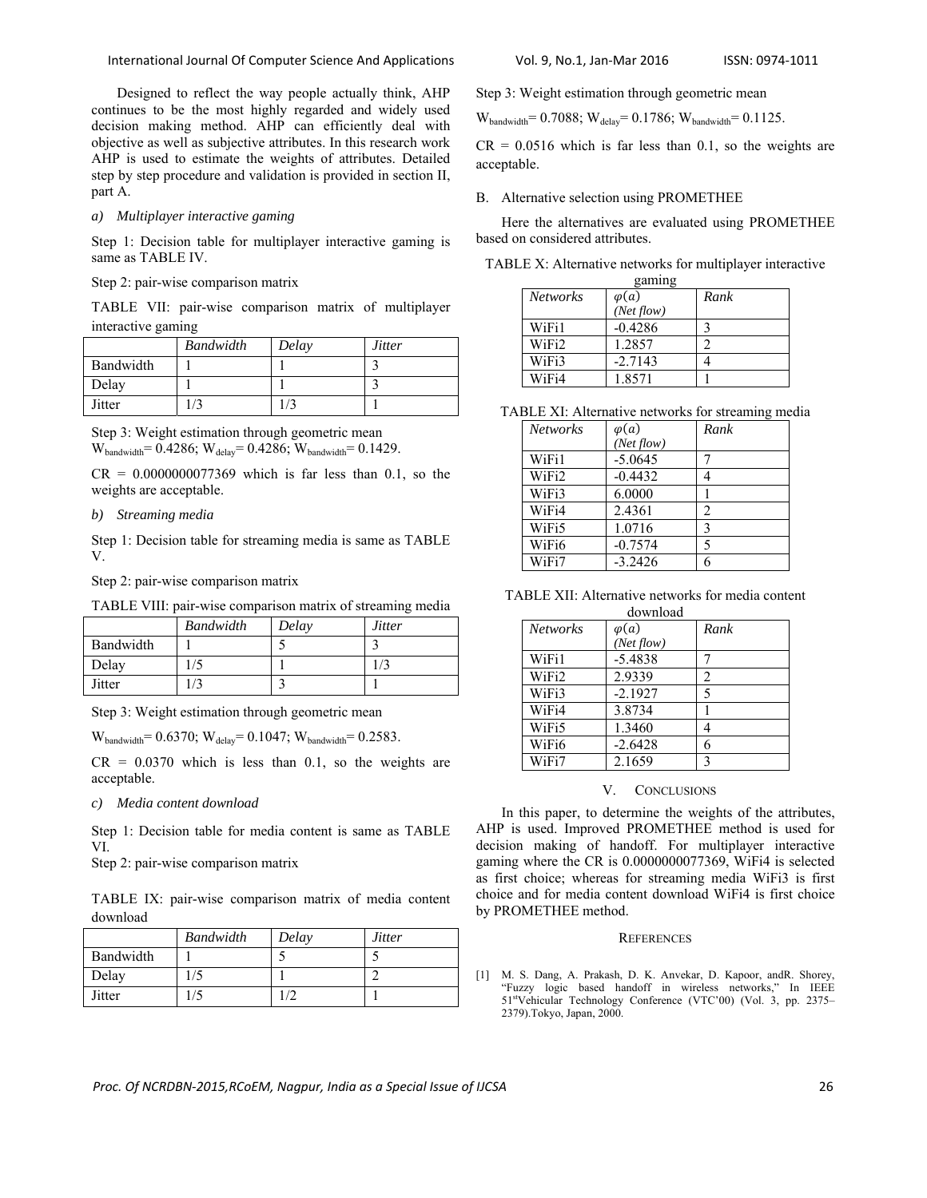International Journal Of Computer Science And Applications Vol. 9, No.1, Jan‐Mar 2016 ISSN: 0974‐1011

Designed to reflect the way people actually think, AHP continues to be the most highly regarded and widely used decision making method. AHP can efficiently deal with objective as well as subjective attributes. In this research work AHP is used to estimate the weights of attributes. Detailed step by step procedure and validation is provided in section II, part A.

## *a) Multiplayer interactive gaming*

Step 1: Decision table for multiplayer interactive gaming is same as TABLE IV.

Step 2: pair-wise comparison matrix

TABLE VII: pair-wise comparison matrix of multiplayer interactive gaming

|           | <b>Bandwidth</b> | Delay | <i>Jitter</i> |
|-----------|------------------|-------|---------------|
| Bandwidth |                  |       |               |
| Delay     |                  |       |               |
| Jitter    |                  |       |               |

Step 3: Weight estimation through geometric mean  $W_{bandwidth} = 0.4286$ ;  $W_{delay} = 0.4286$ ;  $W_{bandwidth} = 0.1429$ .

 $CR = 0.0000000077369$  which is far less than 0.1, so the weights are acceptable.

## *b) Streaming media*

Step 1: Decision table for streaming media is same as TABLE V.

Step 2: pair-wise comparison matrix

TABLE VIII: pair-wise comparison matrix of streaming media

|           | Bandwidth | Delay | <i>Jitter</i> |
|-----------|-----------|-------|---------------|
| Bandwidth |           |       |               |
| Delay     | 1/5       |       | 1/3           |
| Jitter    |           |       |               |

Step 3: Weight estimation through geometric mean

 $W_{bandwidth} = 0.6370$ ;  $W_{delay} = 0.1047$ ;  $W_{bandwidth} = 0.2583$ .

 $CR = 0.0370$  which is less than 0.1, so the weights are acceptable.

*c) Media content download* 

Step 1: Decision table for media content is same as TABLE VI.

Step 2: pair-wise comparison matrix

TABLE IX: pair-wise comparison matrix of media content download

|           | <b>Bandwidth</b> | Delay | <i>Jitter</i> |
|-----------|------------------|-------|---------------|
| Bandwidth |                  |       |               |
| Delay     | i /5             |       |               |
| Jitter    |                  |       |               |

Step 3: Weight estimation through geometric mean

 $W_{bandwidth} = 0.7088$ ;  $W_{delay} = 0.1786$ ;  $W_{bandwidth} = 0.1125$ .

 $CR = 0.0516$  which is far less than 0.1, so the weights are acceptable.

## B. Alternative selection using PROMETHEE

Here the alternatives are evaluated using PROMETHEE based on considered attributes.

| TABLE X: Alternative networks for multiplayer interactive |  |  |  |
|-----------------------------------------------------------|--|--|--|
|                                                           |  |  |  |

| gaming          |              |      |  |  |  |
|-----------------|--------------|------|--|--|--|
| <i>Networks</i> | $\varphi(a)$ | Rank |  |  |  |
|                 | (Net flow)   |      |  |  |  |
| WiFi1           | $-0.4286$    |      |  |  |  |
| WiFi2           | 1.2857       |      |  |  |  |
| WiFi3           | $-2.7143$    |      |  |  |  |
| WiFi4           | 1.8571       |      |  |  |  |

|  |  |  |  | TABLE XI: Alternative networks for streaming media |  |
|--|--|--|--|----------------------------------------------------|--|
|--|--|--|--|----------------------------------------------------|--|

| <b>Networks</b>   | $\varphi(a)$ | Rank |
|-------------------|--------------|------|
|                   | (Net flow)   |      |
| WiFi1             | $-5.0645$    |      |
| WiFi <sub>2</sub> | $-0.4432$    |      |
| WiFi3             | 6.0000       |      |
| WiFi4             | 2.4361       | 2    |
| WiF <sub>i5</sub> | 1.0716       | ٦    |
| WiF <sub>i6</sub> | $-0.7574$    | 5    |
| WiFi7             | $-3.2426$    | 6    |

| TABLE XII: Alternative networks for media content |
|---------------------------------------------------|
|---------------------------------------------------|

| download        |              |      |  |
|-----------------|--------------|------|--|
| <i>Networks</i> | $\varphi(a)$ | Rank |  |
|                 | (Net flow)   |      |  |
| WiFi1           | $-5.4838$    |      |  |
| WiFi2           | 2.9339       | 2    |  |
| WiFi3           | $-2.1927$    | 5    |  |
| WiFi4           | 3.8734       |      |  |
| WiFi5           | 1.3460       |      |  |
| WiFi6           | $-2.6428$    | 6    |  |
| WiFi7           | 2.1659       | ٦    |  |

## V. CONCLUSIONS

In this paper, to determine the weights of the attributes, AHP is used. Improved PROMETHEE method is used for decision making of handoff. For multiplayer interactive gaming where the CR is 0.0000000077369, WiFi4 is selected as first choice; whereas for streaming media WiFi3 is first choice and for media content download WiFi4 is first choice by PROMETHEE method.

## **REFERENCES**

[1] M. S. Dang, A. Prakash, D. K. Anvekar, D. Kapoor, andR. Shorey, "Fuzzy logic based handoff in wireless networks," In IEEE 51stVehicular Technology Conference (VTC'00) (Vol. 3, pp. 2375– 2379).Tokyo, Japan, 2000.